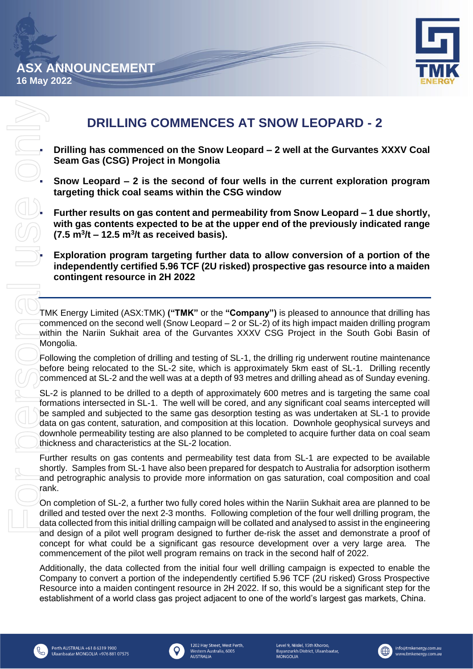**16 May 2022**



# **DRILLING COMMENCES AT SNOW LEOPARD - 2**

- **Drilling has commenced on the Snow Leopard – 2 well at the Gurvantes XXXV Coal Seam Gas (CSG) Project in Mongolia**
- **Snow Leopard – 2 is the second of four wells in the current exploration program targeting thick coal seams within the CSG window**

▪ **Further results on gas content and permeability from Snow Leopard – 1 due shortly, with gas contents expected to be at the upper end of the previously indicated range (7.5 m<sup>3</sup> /t – 12.5 m<sup>3</sup> /t as received basis).**

Exploration program targeting further data to allow conversion of a portion of the **independently certified 5.96 TCF (2U risked) prospective gas resource into a maiden contingent resource in 2H 2022**

TMK Energy Limited (ASX:TMK) **("TMK"** or the **"Company")** is pleased to announce that drilling has commenced on the second well (Snow Leopard – 2 or SL-2) of its high impact maiden drilling program within the Nariin Sukhait area of the Gurvantes XXXV CSG Project in the South Gobi Basin of Mongolia.

Following the completion of drilling and testing of SL-1, the drilling rig underwent routine maintenance before being relocated to the SL-2 site, which is approximately 5km east of SL-1. Drilling recently commenced at SL-2 and the well was at a depth of 93 metres and drilling ahead as of Sunday evening.

SL-2 is planned to be drilled to a depth of approximately 600 metres and is targeting the same coal formations intersected in SL-1. The well will be cored, and any significant coal seams intercepted will be sampled and subjected to the same gas desorption testing as was undertaken at SL-1 to provide data on gas content, saturation, and composition at this location. Downhole geophysical surveys and downhole permeability testing are also planned to be completed to acquire further data on coal seam thickness and characteristics at the SL-2 location.

Further results on gas contents and permeability test data from SL-1 are expected to be available shortly. Samples from SL-1 have also been prepared for despatch to Australia for adsorption isotherm and petrographic analysis to provide more information on gas saturation, coal composition and coal rank.

On completion of SL-2, a further two fully cored holes within the Nariin Sukhait area are planned to be drilled and tested over the next 2-3 months. Following completion of the four well drilling program, the data collected from this initial drilling campaign will be collated and analysed to assist in the engineering and design of a pilot well program designed to further de-risk the asset and demonstrate a proof of concept for what could be a significant gas resource development over a very large area. The commencement of the pilot well program remains on track in the second half of 2022.

Additionally, the data collected from the initial four well drilling campaign is expected to enable the Company to convert a portion of the independently certified 5.96 TCF (2U risked) Gross Prospective Resource into a maiden contingent resource in 2H 2022. If so, this would be a significant step for the establishment of a world class gas project adjacent to one of the world's largest gas markets, China.